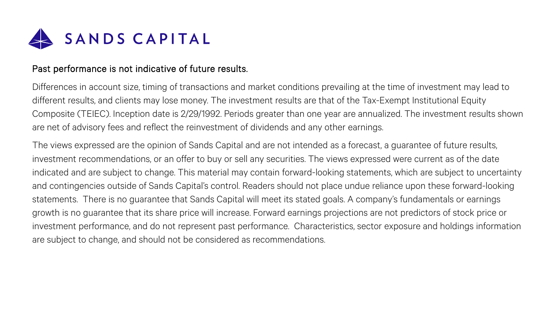

## Past performance is not indicative of future results.

Differences in account size, timing of transactions and market conditions prevailing at the time of investment may lead to different results, and clients may lose money. The investment results are that of the Tax-Exempt Institutional Equity Composite (TEIEC). Inception date is 2/29/1992. Periods greater than one year are annualized. The investment results shown are net of advisory fees and reflect the reinvestment of dividends and any other earnings.

The views expressed are the opinion of Sands Capital and are not intended as a forecast, a guarantee of future results, investment recommendations, or an offer to buy or sell any securities. The views expressed were current as of the date indicated and are subject to change. This material may contain forward-looking statements, which are subject to uncertainty and contingencies outside of Sands Capital's control. Readers should not place undue reliance upon these forward-looking statements. There is no guarantee that Sands Capital will meet its stated goals. A company's fundamentals or earnings growth is no guarantee that its share price will increase. Forward earnings projections are not predictors of stock price or investment performance, and do not represent past performance. Characteristics, sector exposure and holdings information are subject to change, and should not be considered as recommendations.